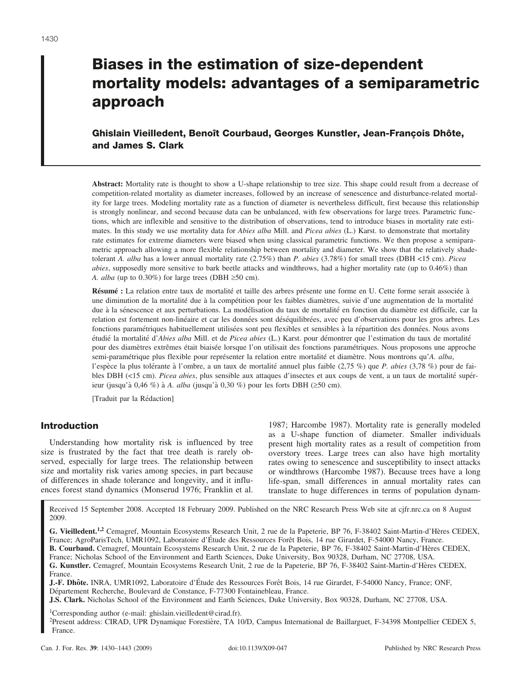# **Biases in the estimation of size-dependent mortality models: advantages of a semiparametric approach**

# **Ghislain Vieilledent, Benoıˆt Courbaud, Georges Kunstler, Jean-Franc¸ ois Dhoˆte, and James S. Clark**

**Abstract:** Mortality rate is thought to show a U-shape relationship to tree size. This shape could result from a decrease of competition-related mortality as diameter increases, followed by an increase of senescence and disturbance-related mortality for large trees. Modeling mortality rate as a function of diameter is nevertheless difficult, first because this relationship is strongly nonlinear, and second because data can be unbalanced, with few observations for large trees. Parametric functions, which are inflexible and sensitive to the distribution of observations, tend to introduce biases in mortality rate estimates. In this study we use mortality data for *Abies alba* Mill. and *Picea abies* (L.) Karst. to demonstrate that mortality rate estimates for extreme diameters were biased when using classical parametric functions. We then propose a semiparametric approach allowing a more flexible relationship between mortality and diameter. We show that the relatively shadetolerant *A. alba* has a lower annual mortality rate (2.75%) than *P. abies* (3.78%) for small trees (DBH <15 cm). *Picea abies*, supposedly more sensitive to bark beetle attacks and windthrows, had a higher mortality rate (up to 0.46%) than *A. alba* (up to 0.30%) for large trees (DBH  $\geq$ 50 cm).

Résumé : La relation entre taux de mortalité et taille des arbres présente une forme en U. Cette forme serait associée à une diminution de la mortalité due à la compétition pour les faibles diamètres, suivie d'une augmentation de la mortalité due à la sénescence et aux perturbations. La modélisation du taux de mortalité en fonction du diamètre est difficile, car la relation est fortement non-linéaire et car les données sont déséquilibrées, avec peu d'observations pour les gros arbres. Les fonctions paramétriques habituellement utilisées sont peu flexibles et sensibles à la répartition des données. Nous avons étudié la mortalité d'Abies alba Mill. et de Picea abies (L.) Karst. pour démontrer que l'estimation du taux de mortalité pour des diamètres extrêmes était biaisée lorsque l'on utilisait des fonctions paramétriques. Nous proposons une approche semi-paramétrique plus flexible pour représenter la relation entre mortalité et diamètre. Nous montrons qu'*A. alba*, l'espèce la plus tolérante à l'ombre, a un taux de mortalité annuel plus faible (2,75 %) que *P. abies* (3,78 %) pour de faibles DBH (<15 cm). *Picea abies*, plus sensible aux attaques d'insectes et aux coups de vent, a un taux de mortalité supérieur (jusqu'à 0,46 %) à *A. alba* (jusqu'à 0,30 %) pour les forts DBH ( $\geq$ 50 cm).

[Traduit par la Rédaction]

# **Introduction**

Understanding how mortality risk is influenced by tree size is frustrated by the fact that tree death is rarely observed, especially for large trees. The relationship between size and mortality risk varies among species, in part because of differences in shade tolerance and longevity, and it influences forest stand dynamics (Monserud 1976; Franklin et al.

1987; Harcombe 1987). Mortality rate is generally modeled as a U-shape function of diameter. Smaller individuals present high mortality rates as a result of competition from overstory trees. Large trees can also have high mortality rates owing to senescence and susceptibility to insect attacks or windthrows (Harcombe 1987). Because trees have a long life-span, small differences in annual mortality rates can translate to huge differences in terms of population dynam-

Received 15 September 2008. Accepted 18 February 2009. Published on the NRC Research Press Web site at cjfr.nrc.ca on 8 August 2009.

G. Vieilledent.<sup>1,2</sup> Cemagref, Mountain Ecosystems Research Unit, 2 rue de la Papeterie, BP 76, F-38402 Saint-Martin-d'Hères CEDEX, France; AgroParisTech, UMR1092, Laboratoire d'Étude des Ressources Forêt Bois, 14 rue Girardet, F-54000 Nancy, France. B. Courbaud. Cemagref, Mountain Ecosystems Research Unit, 2 rue de la Papeterie, BP 76, F-38402 Saint-Martin-d'Hères CEDEX, France; Nicholas School of the Environment and Earth Sciences, Duke University, Box 90328, Durham, NC 27708, USA.

**J.-F. Dhoˆte.** INRA, UMR1092, Laboratoire d'E´tude des Ressources Foreˆt Bois, 14 rue Girardet, F-54000 Nancy, France; ONF, Département Recherche, Boulevard de Constance, F-77300 Fontainebleau, France.

**J.S. Clark.** Nicholas School of the Environment and Earth Sciences, Duke University, Box 90328, Durham, NC 27708, USA.

1Corresponding author (e-mail: ghislain.vieilledent@cirad.fr).

<sup>2</sup>Present address: CIRAD, UPR Dynamique Forestière, TA 10/D, Campus International de Baillarguet, F-34398 Montpellier CEDEX 5, France.

G. Kunstler. Cemagref, Mountain Ecosystems Research Unit, 2 rue de la Papeterie, BP 76, F-38402 Saint-Martin-d'Hères CEDEX, France.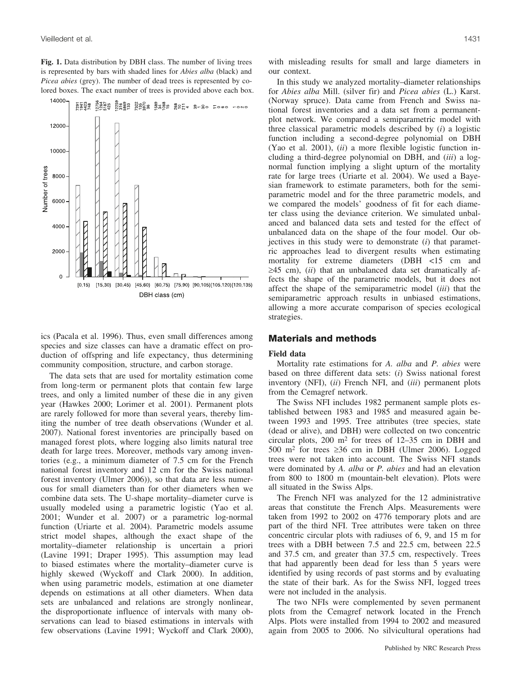**Fig. 1.** Data distribution by DBH class. The number of living trees is represented by bars with shaded lines for *Abies alba* (black) and *Picea abies* (grey). The number of dead trees is represented by colored boxes. The exact number of trees is provided above each box.



ics (Pacala et al. 1996). Thus, even small differences among species and size classes can have a dramatic effect on production of offspring and life expectancy, thus determining community composition, structure, and carbon storage.

The data sets that are used for mortality estimation come from long-term or permanent plots that contain few large trees, and only a limited number of these die in any given year (Hawkes 2000; Lorimer et al. 2001). Permanent plots are rarely followed for more than several years, thereby limiting the number of tree death observations (Wunder et al. 2007). National forest inventories are principally based on managed forest plots, where logging also limits natural tree death for large trees. Moreover, methods vary among inventories (e.g., a minimum diameter of 7.5 cm for the French national forest inventory and 12 cm for the Swiss national forest inventory (Ulmer 2006)), so that data are less numerous for small diameters than for other diameters when we combine data sets. The U-shape mortality–diameter curve is usually modeled using a parametric logistic (Yao et al. 2001; Wunder et al. 2007) or a parametric log-normal function (Uriarte et al. 2004). Parametric models assume strict model shapes, although the exact shape of the mortality–diameter relationship is uncertain a priori (Lavine 1991; Draper 1995). This assumption may lead to biased estimates where the mortality–diameter curve is highly skewed (Wyckoff and Clark 2000). In addition, when using parametric models, estimation at one diameter depends on estimations at all other diameters. When data sets are unbalanced and relations are strongly nonlinear, the disproportionate influence of intervals with many observations can lead to biased estimations in intervals with few observations (Lavine 1991; Wyckoff and Clark 2000), with misleading results for small and large diameters in our context.

In this study we analyzed mortality–diameter relationships for *Abies alba* Mill. (silver fir) and *Picea abies* (L.) Karst. (Norway spruce). Data came from French and Swiss national forest inventories and a data set from a permanentplot network. We compared a semiparametric model with three classical parametric models described by (*i*) a logistic function including a second-degree polynomial on DBH (Yao et al. 2001), (*ii*) a more flexible logistic function including a third-degree polynomial on DBH, and (*iii*) a lognormal function implying a slight upturn of the mortality rate for large trees (Uriarte et al. 2004). We used a Bayesian framework to estimate parameters, both for the semiparametric model and for the three parametric models, and we compared the models' goodness of fit for each diameter class using the deviance criterion. We simulated unbalanced and balanced data sets and tested for the effect of unbalanced data on the shape of the four model. Our objectives in this study were to demonstrate (*i*) that parametric approaches lead to divergent results when estimating mortality for extreme diameters (DBH <15 cm and  $\geq$ 45 cm), *(ii)* that an unbalanced data set dramatically affects the shape of the parametric models, but it does not affect the shape of the semiparametric model (*iii*) that the semiparametric approach results in unbiased estimations, allowing a more accurate comparison of species ecological strategies.

### **Materials and methods**

#### **Field data**

Mortality rate estimations for *A. alba* and *P. abies* were based on three different data sets: (*i*) Swiss national forest inventory (NFI), (*ii*) French NFI, and (*iii*) permanent plots from the Cemagref network.

The Swiss NFI includes 1982 permanent sample plots established between 1983 and 1985 and measured again between 1993 and 1995. Tree attributes (tree species, state (dead or alive), and DBH) were collected on two concentric circular plots, 200 m2 for trees of 12–35 cm in DBH and 500 m<sup>2</sup> for trees  $\geq$ 36 cm in DBH (Ulmer 2006). Logged trees were not taken into account. The Swiss NFI stands were dominated by *A. alba* or *P. abies* and had an elevation from 800 to 1800 m (mountain-belt elevation). Plots were all situated in the Swiss Alps.

The French NFI was analyzed for the 12 administrative areas that constitute the French Alps. Measurements were taken from 1992 to 2002 on 4776 temporary plots and are part of the third NFI. Tree attributes were taken on three concentric circular plots with radiuses of 6, 9, and 15 m for trees with a DBH between 7.5 and 22.5 cm, between 22.5 and 37.5 cm, and greater than 37.5 cm, respectively. Trees that had apparently been dead for less than 5 years were identified by using records of past storms and by evaluating the state of their bark. As for the Swiss NFI, logged trees were not included in the analysis.

The two NFIs were complemented by seven permanent plots from the Cemagref network located in the French Alps. Plots were installed from 1994 to 2002 and measured again from 2005 to 2006. No silvicultural operations had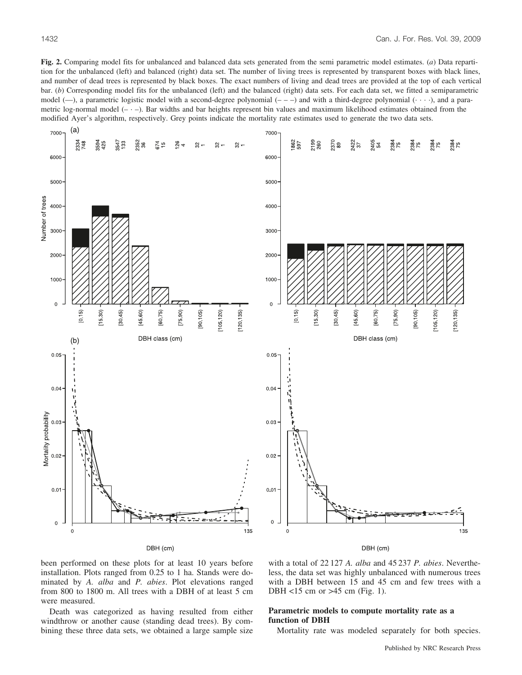**Fig. 2.** Comparing model fits for unbalanced and balanced data sets generated from the semi parametric model estimates. (*a*) Data repartition for the unbalanced (left) and balanced (right) data set. The number of living trees is represented by transparent boxes with black lines, and number of dead trees is represented by black boxes. The exact numbers of living and dead trees are provided at the top of each vertical bar. (*b*) Corresponding model fits for the unbalanced (left) and the balanced (right) data sets. For each data set, we fitted a semiparametric model  $(-)$ , a parametric logistic model with a second-degree polynomial  $(- -)$  and with a third-degree polynomial  $(\cdots)$ , and a parametric log-normal model ( $-\cdot$ ). Bar widths and bar heights represent bin values and maximum likelihood estimates obtained from the modified Ayer's algorithm, respectively. Grey points indicate the mortality rate estimates used to generate the two data sets.



been performed on these plots for at least 10 years before installation. Plots ranged from 0.25 to 1 ha. Stands were dominated by *A. alba* and *P. abies*. Plot elevations ranged from 800 to 1800 m. All trees with a DBH of at least 5 cm were measured.

Death was categorized as having resulted from either windthrow or another cause (standing dead trees). By combining these three data sets, we obtained a large sample size

with a total of 22 127 *A. alba* and 45 237 *P. abies*. Nevertheless, the data set was highly unbalanced with numerous trees with a DBH between 15 and 45 cm and few trees with a DBH <15 cm or >45 cm (Fig. 1).

#### **Parametric models to compute mortality rate as a function of DBH**

Mortality rate was modeled separately for both species.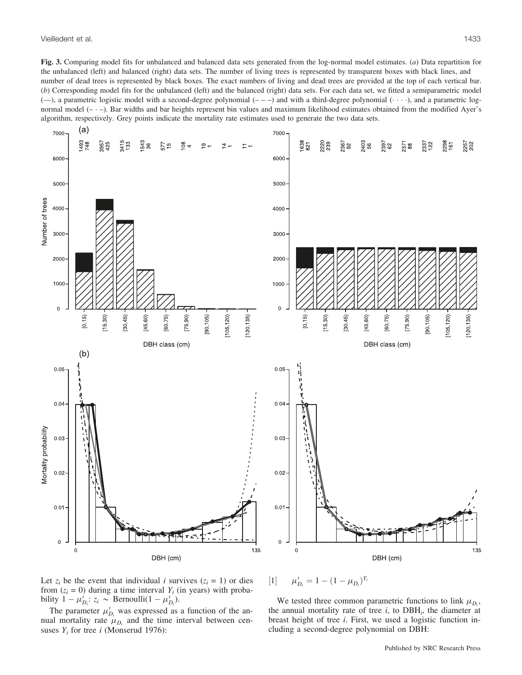**Fig. 3.** Comparing model fits for unbalanced and balanced data sets generated from the log-normal model estimates. (*a*) Data repartition for the unbalanced (left) and balanced (right) data sets. The number of living trees is represented by transparent boxes with black lines, and number of dead trees is represented by black boxes. The exact numbers of living and dead trees are provided at the top of each vertical bar. (*b*) Corresponding model fits for the unbalanced (left) and the balanced (right) data sets. For each data set, we fitted a semiparametric model  $(-)$ , a parametric logistic model with a second-degree polynomial  $(- -)$  and with a third-degree polynomial  $(\cdots)$ , and a parametric lognormal model ( $-\cdot$ ). Bar widths and bar heights represent bin values and maximum likelihood estimates obtained from the modified Ayer's algorithm, respectively. Grey points indicate the mortality rate estimates used to generate the two data sets.



Let  $z_i$  be the event that individual *i* survives  $(z_i = 1)$  or dies from  $(z<sub>i</sub> = 0)$  during a time interval  $Y<sub>i</sub>$  (in years) with probability  $1 - \mu'_{D_i}: z_i \sim \text{Bernoulli}(1 - \mu'_{D_i}).$ 

The parameter  $\mu'_{D_i}$  was expressed as a function of the annual mortality rate  $\mu_{D_i}$  and the time interval between censuses  $Y_i$  for tree *i* (Monserud 1976):

$$
[1] \qquad \mu'_{D_i} = 1 - (1 - \mu_{D_i})^{Y_i}
$$

We tested three common parametric functions to link  $\mu_{D_i}$ , the annual mortality rate of tree *i*, to DBH*i*, the diameter at breast height of tree *i*. First, we used a logistic function including a second-degree polynomial on DBH: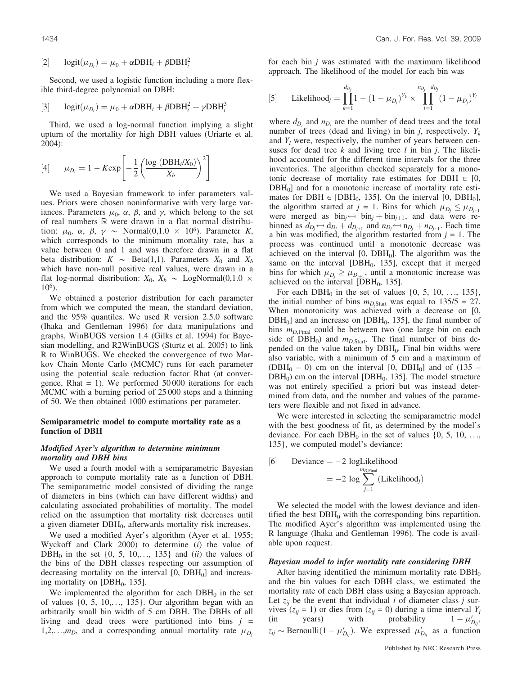$$
[2] \qquad \text{logit}(\mu_{D_i}) = \mu_0 + \alpha \text{DBH}_i + \beta \text{DBH}_i^2
$$

Second, we used a logistic function including a more flexible third-degree polynomial on DBH:

[3] 
$$
logit(\mu_{D_i}) = \mu_0 + \alpha DBH_i + \beta DBH_i^2 + \gamma DBH_i^3
$$

Third, we used a log-normal function implying a slight upturn of the mortality for high DBH values (Uriarte et al. 2004):

$$
[4] \qquad \mu_{D_i} = 1 - K \exp\left[-\frac{1}{2} \left(\frac{\log\left(\text{DBH}_i/X_0\right)}{X_b}\right)^2\right]
$$

We used a Bayesian framework to infer parameters values. Priors were chosen noninformative with very large variances. Parameters  $\mu_0$ ,  $\alpha$ ,  $\beta$ , and  $\gamma$ , which belong to the set of real numbers R were drawn in a flat normal distribution:  $\mu_0$ ,  $\alpha$ ,  $\beta$ ,  $\gamma$  ~ Normal(0,1.0 × 10<sup>6</sup>). Parameter *K*, which corresponds to the minimum mortality rate, has a value between 0 and 1 and was therefore drawn in a flat beta distribution:  $K \sim \text{Beta}(1,1)$ . Parameters  $X_0$  and  $X_b$ which have non-null positive real values, were drawn in a flat log-normal distribution:  $X_0$ ,  $X_b$  ~ LogNormal(0,1.0 × 106).

We obtained a posterior distribution for each parameter from which we computed the mean, the standard deviation, and the 95% quantiles. We used R version 2.5.0 software (Ihaka and Gentleman 1996) for data manipulations and graphs, WinBUGS version 1.4 (Gilks et al. 1994) for Bayesian modelling, and R2WinBUGS (Sturtz et al. 2005) to link R to WinBUGS. We checked the convergence of two Markov Chain Monte Carlo (MCMC) runs for each parameter using the potential scale reduction factor Rhat (at convergence, Rhat  $= 1$ ). We performed 50 000 iterations for each MCMC with a burning period of 25 000 steps and a thinning of 50. We then obtained 1000 estimations per parameter.

#### **Semiparametric model to compute mortality rate as a function of DBH**

### *Modified Ayer's algorithm to determine minimum mortality and DBH bins*

We used a fourth model with a semiparametric Bayesian approach to compute mortality rate as a function of DBH. The semiparametric model consisted of dividing the range of diameters in bins (which can have different widths) and calculating associated probabilities of mortality. The model relied on the assumption that mortality risk decreases until a given diameter DBH<sub>0</sub>, afterwards mortality risk increases.

We used a modified Ayer's algorithm (Ayer et al. 1955; Wyckoff and Clark 2000) to determine (*i*) the value of DBH<sub>0</sub> in the set  $\{0, 5, 10, \ldots, 135\}$  and *(ii)* the values of the bins of the DBH classes respecting our assumption of decreasing mortality on the interval  $[0, DBH<sub>0</sub>]$  and increasing mortality on  $[DBH<sub>0</sub>, 135]$ .

We implemented the algorithm for each  $DBH_0$  in the set of values  $\{0, 5, 10, \ldots, 135\}$ . Our algorithm began with an arbitrarily small bin width of 5 cm DBH. The DBHs of all living and dead trees were partitioned into bins  $j =$ 1,2,...,*m*<sub>D</sub>, and a corresponding annual mortality rate  $\mu_{D_i}$  for each bin *j* was estimated with the maximum likelihood approach. The likelihood of the model for each bin was

[5] Likelihood<sub>j</sub> = 
$$
\prod_{k=1}^{d_{D_j}} 1 - (1 - \mu_{D_j})^{Y_k} \times \prod_{l=1}^{n_{D_j} - d_{D_j}} (1 - \mu_{D_j})^{Y_l}
$$

where  $d_{D_i}$  and  $n_{D_i}$  are the number of dead trees and the total number of trees (dead and living) in bin *j*, respectively. *Yk* and *Yl* were, respectively, the number of years between censuses for dead tree *k* and living tree *l* in bin *j*. The likelihood accounted for the different time intervals for the three inventories. The algorithm checked separately for a monotonic decrease of mortality rate estimates for DBH  $\in$  [0,  $DBH<sub>0</sub>$ ] and for a monotonic increase of mortality rate estimates for DBH  $\in$  [DBH<sub>0</sub>, 135]. On the interval [0, DBH<sub>0</sub>], the algorithm started at  $j = 1$ . Bins for which  $\mu_{D_i} \leq \mu_{D_{i+1}}$ were merged as  $\text{bin}_{j} \leftarrow \text{bin}_{j+1}$ , and data were rebinned as  $d_{D_j} \leftarrow d_{D_j} + d_{D_{j+1}}$  and  $n_{D_j} \leftarrow n_{D_j} + n_{D_{j+1}}$ . Each time a bin was modified, the algorithm restarted from  $j = 1$ . The process was continued until a monotonic decrease was achieved on the interval  $[0, DBH<sub>0</sub>]$ . The algorithm was the same on the interval  $[DBH_0, 135]$ , except that it merged bins for which  $\mu_{D_j} \geq \mu_{D_{j+1}}$ , until a monotonic increase was achieved on the interval  $[DBH_0, 135]$ .

For each DBH<sub>0</sub> in the set of values  $\{0, 5, 10, ..., 135\}$ , the initial number of bins  $m_{D,Start}$  was equal to  $135/5 = 27$ . When monotonicity was achieved with a decrease on [0,  $DBH<sub>0</sub>$ ] and an increase on [DBH<sub>0</sub>, 135], the final number of bins  $m_{D,Final}$  could be between two (one large bin on each side of  $DBH_0$ ) and  $m_{D,Start}$ . The final number of bins depended on the value taken by  $DBH_0$ . Final bin widths were also variable, with a minimum of 5 cm and a maximum of  $(DBH<sub>0</sub> - 0)$  cm on the interval [0, DBH<sub>0</sub>] and of (135 –  $DBH<sub>0</sub>$ ) cm on the interval [DBH<sub>0</sub>, 135]. The model structure was not entirely specified a priori but was instead determined from data, and the number and values of the parameters were flexible and not fixed in advance.

We were interested in selecting the semiparametric model with the best goodness of fit, as determined by the model's deviance. For each  $DBH_0$  in the set of values  $\{0, 5, 10, \ldots, \}$ 135}, we computed model's deviance:

[6] Deviance = 
$$
-2 \log
$$
Likelihood  
=  $-2 \log \sum_{j=1}^{m_{D,Final}} (Likelihood_j)$ 

We selected the model with the lowest deviance and identified the best  $DBH_0$  with the corresponding bins repartition. The modified Ayer's algorithm was implemented using the R language (Ihaka and Gentleman 1996). The code is available upon request.

#### *Bayesian model to infer mortality rate considering DBH*

After having identified the minimum mortality rate  $DBH_0$ and the bin values for each DBH class, we estimated the mortality rate of each DBH class using a Bayesian approach. Let  $z_{ij}$  be the event that individual *i* of diameter class *j* survives  $(z_{ij} = 1)$  or dies from  $(z_{ij} = 0)$  during a time interval  $Y_i$ <br>(in years) with probability  $1 - \mu'_{D}$ , (in years) with probability  $1-\mu'_{D_{ii}},$  $z_{ij} \sim \text{Bernoulli}(1 - \mu'_{D_{ij}})$ . We expressed  $\mu'_{D_{ij}}$  as a function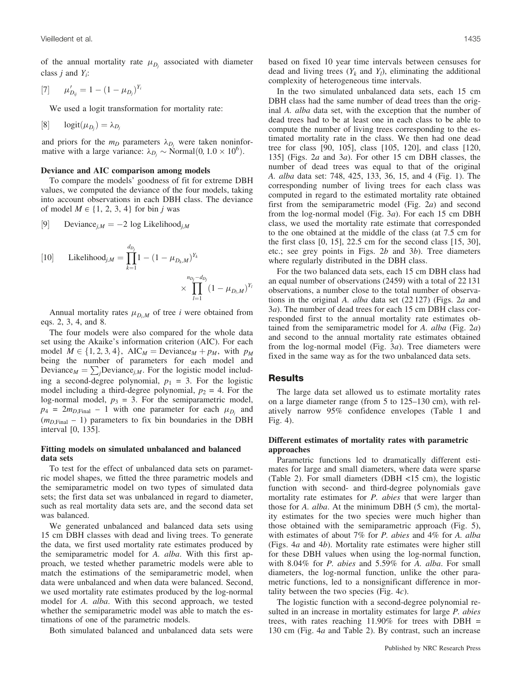of the annual mortality rate  $\mu_{D_i}$  associated with diameter class *j* and *Yi*:

[7] 
$$
\mu'_{D_{ij}} = 1 - (1 - \mu_{D_j})^{Y_i}
$$

We used a logit transformation for mortality rate:

$$
[8] \qquad \text{logit}(\mu_{D_j}) = \lambda_{D_j}
$$

and priors for the  $m_D$  parameters  $\lambda_{D_i}$  were taken noninformative with a large variance:  $\lambda_{D_i} \sim \text{Normal}(0, 1.0 \times 10^6)$ .

#### **Deviance and AIC comparison among models**

To compare the models' goodness of fit for extreme DBH values, we computed the deviance of the four models, taking into account observations in each DBH class. The deviance of model  $M \in \{1, 2, 3, 4\}$  for bin *j* was

$$
[9]
$$
 Deviance<sub>j,M</sub> = -2 log Likelihood<sub>j,M</sub>

[10] Likelihood<sub>j,M</sub> = 
$$
\prod_{k=1}^{d_{D_j}} 1 - (1 - \mu_{D_k,M})^{Y_k}
$$
  

$$
\times \prod_{l=1}^{n_{D_j} - d_{D_j}} (1 - \mu_{D_l,M})^{Y_l}
$$

Annual mortality rates  $\mu_{D_i,M}$  of tree *i* were obtained from eqs. 2, 3, 4, and 8.

The four models were also compared for the whole data set using the Akaike's information criterion (AIC). For each model  $M \in \{1, 2, 3, 4\}$ , AIC<sub>M</sub> = Deviance<sub>M</sub> +  $p_M$ , with  $p_M$ being the number of parameters for each model and Deviance<sub>M</sub> =  $\sum_j$ Deviance<sub>j,M</sub>. For the logistic model including a second-degree polynomial,  $p_1 = 3$ . For the logistic model including a third-degree polynomial,  $p_2 = 4$ . For the log-normal model,  $p_3 = 3$ . For the semiparametric model,  $p_4 = 2m_{D,Final} - 1$  with one parameter for each  $\mu_{D_i}$  and  $(m_{D,Final} - 1)$  parameters to fix bin boundaries in the DBH interval [0, 135].

#### **Fitting models on simulated unbalanced and balanced data sets**

To test for the effect of unbalanced data sets on parametric model shapes, we fitted the three parametric models and the semiparametric model on two types of simulated data sets; the first data set was unbalanced in regard to diameter, such as real mortality data sets are, and the second data set was balanced.

We generated unbalanced and balanced data sets using 15 cm DBH classes with dead and living trees. To generate the data, we first used mortality rate estimates produced by the semiparametric model for *A. alba*. With this first approach, we tested whether parametric models were able to match the estimations of the semiparametric model, when data were unbalanced and when data were balanced. Second, we used mortality rate estimates produced by the log-normal model for *A. alba*. With this second approach, we tested whether the semiparametric model was able to match the estimations of one of the parametric models.

Both simulated balanced and unbalanced data sets were

based on fixed 10 year time intervals between censuses for dead and living trees  $(Y_k$  and  $Y_l$ ), eliminating the additional complexity of heterogeneous time intervals.

In the two simulated unbalanced data sets, each 15 cm DBH class had the same number of dead trees than the original *A. alba* data set, with the exception that the number of dead trees had to be at least one in each class to be able to compute the number of living trees corresponding to the estimated mortality rate in the class. We then had one dead tree for class [90, 105], class [105, 120], and class [120, 135] (Figs. 2*a* and 3*a*). For other 15 cm DBH classes, the number of dead trees was equal to that of the original *A. alba* data set: 748, 425, 133, 36, 15, and 4 (Fig. 1). The corresponding number of living trees for each class was computed in regard to the estimated mortality rate obtained first from the semiparametric model (Fig. 2*a*) and second from the log-normal model (Fig. 3*a*). For each 15 cm DBH class, we used the mortality rate estimate that corresponded to the one obtained at the middle of the class (at 7.5 cm for the first class [0, 15], 22.5 cm for the second class [15, 30], etc.; see grey points in Figs. 2*b* and 3*b*). Tree diameters where regularly distributed in the DBH class.

For the two balanced data sets, each 15 cm DBH class had an equal number of observations (2459) with a total of 22 131 observations, a number close to the total number of observations in the original *A. alba* data set (22 127) (Figs. 2*a* and 3*a*). The number of dead trees for each 15 cm DBH class corresponded first to the annual mortality rate estimates obtained from the semiparametric model for *A. alba* (Fig. 2*a*) and second to the annual mortality rate estimates obtained from the log-normal model (Fig. 3*a*). Tree diameters were fixed in the same way as for the two unbalanced data sets.

#### **Results**

The large data set allowed us to estimate mortality rates on a large diameter range (from 5 to 125–130 cm), with relatively narrow 95% confidence envelopes (Table 1 and Fig. 4).

#### **Different estimates of mortality rates with parametric approaches**

Parametric functions led to dramatically different estimates for large and small diameters, where data were sparse (Table 2). For small diameters (DBH <15 cm), the logistic function with second- and third-degree polynomials gave mortality rate estimates for *P. abies* that were larger than those for *A. alba*. At the minimum DBH (5 cm), the mortality estimates for the two species were much higher than those obtained with the semiparametric approach (Fig. 5), with estimates of about 7% for *P. abies* and 4% for *A. alba* (Figs. 4*a* and 4*b*). Mortality rate estimates were higher still for these DBH values when using the log-normal function, with 8.04% for *P. abies* and 5.59% for *A. alba*. For small diameters, the log-normal function, unlike the other parametric functions, led to a nonsignificant difference in mortality between the two species (Fig. 4*c*).

The logistic function with a second-degree polynomial resulted in an increase in mortality estimates for large *P. abies* trees, with rates reaching  $11.90\%$  for trees with DBH = 130 cm (Fig. 4*a* and Table 2). By contrast, such an increase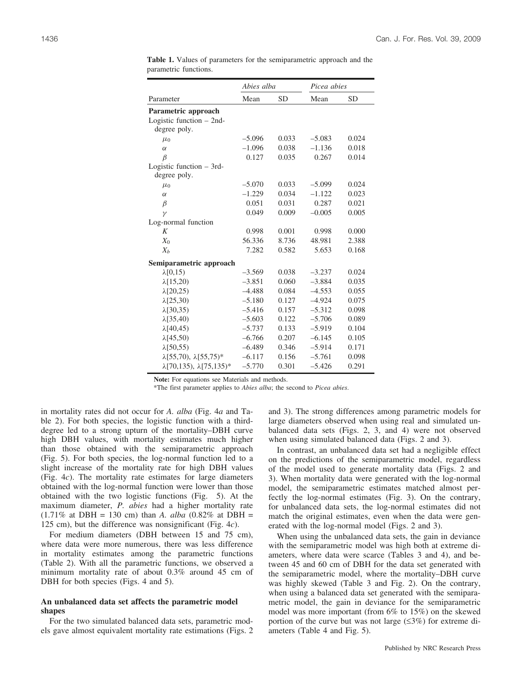|                                         | Abies alba |           | Picea abies |           |  |
|-----------------------------------------|------------|-----------|-------------|-----------|--|
| Parameter                               | Mean       | <b>SD</b> | Mean        | <b>SD</b> |  |
| Parametric approach                     |            |           |             |           |  |
| Logistic function $-2nd$                |            |           |             |           |  |
| degree poly.                            |            |           |             |           |  |
| $\mu_0$                                 | $-5.096$   | 0.033     | $-5.083$    | 0.024     |  |
| $\alpha$                                | $-1.096$   | 0.038     | $-1.136$    | 0.018     |  |
| $\beta$                                 | 0.127      | 0.035     | 0.267       | 0.014     |  |
| Logistic function $-3rd$                |            |           |             |           |  |
| degree poly.                            |            |           |             |           |  |
| $\mu_0$                                 | $-5.070$   | 0.033     | $-5.099$    | 0.024     |  |
| $\alpha$                                | $-1.229$   | 0.034     | $-1.122$    | 0.023     |  |
| $\beta$                                 | 0.051      | 0.031     | 0.287       | 0.021     |  |
| $\gamma$                                | 0.049      | 0.009     | $-0.005$    | 0.005     |  |
| Log-normal function                     |            |           |             |           |  |
| K                                       | 0.998      | 0.001     | 0.998       | 0.000     |  |
| $X_0$                                   | 56.336     | 8.736     | 48.981      | 2.388     |  |
| $X_b$                                   | 7.282      | 0.582     | 5.653       | 0.168     |  |
| Semiparametric approach                 |            |           |             |           |  |
| $\lambda$ [0,15)                        | $-3.569$   | 0.038     | $-3.237$    | 0.024     |  |
| $\lambda$ [15,20)                       | $-3.851$   | 0.060     | $-3.884$    | 0.035     |  |
| $\lambda$ [20,25)                       | $-4.488$   | 0.084     | $-4.553$    | 0.055     |  |
| $\lambda$ [25,30)                       | $-5.180$   | 0.127     | $-4.924$    | 0.075     |  |
| $\lambda$ [30,35)                       | $-5.416$   | 0.157     | $-5.312$    | 0.098     |  |
| $\lambda$ [35,40)                       | $-5.603$   | 0.122     | $-5.706$    | 0.089     |  |
| $\lambda$ [40,45)                       | $-5.737$   | 0.133     | $-5.919$    | 0.104     |  |
| $\lambda$ [45,50)                       | $-6.766$   | 0.207     | $-6.145$    | 0.105     |  |
| $\lambda$ [50,55)                       | $-6.489$   | 0.346     | $-5.914$    | 0.171     |  |
| $\lambda$ [55,70), $\lambda$ [55,75)*   | $-6.117$   | 0.156     | $-5.761$    | 0.098     |  |
| $\lambda$ [70,135), $\lambda$ [75,135)* | $-5.770$   | 0.301     | $-5.426$    | 0.291     |  |

**Table 1.** Values of parameters for the semiparametric approach and the parametric functions.

**Note:** For equations see Materials and methods.

\*The first parameter applies to *Abies alba*; the second to *Picea abies*.

in mortality rates did not occur for *A. alba* (Fig. 4*a* and Table 2). For both species, the logistic function with a thirddegree led to a strong upturn of the mortality–DBH curve high DBH values, with mortality estimates much higher than those obtained with the semiparametric approach (Fig. 5). For both species, the log-normal function led to a slight increase of the mortality rate for high DBH values (Fig. 4*c*). The mortality rate estimates for large diameters obtained with the log-normal function were lower than those obtained with the two logistic functions (Fig. 5). At the maximum diameter, *P. abies* had a higher mortality rate  $(1.71\% \text{ at DBH} = 130 \text{ cm}) \text{ than } A. \text{ alba } (0.82\% \text{ at DBH} = 130 \text{ cm})$ 125 cm), but the difference was nonsignificant (Fig. 4*c*).

For medium diameters (DBH between 15 and 75 cm), where data were more numerous, there was less difference in mortality estimates among the parametric functions (Table 2). With all the parametric functions, we observed a minimum mortality rate of about 0.3% around 45 cm of DBH for both species (Figs. 4 and 5).

#### **An unbalanced data set affects the parametric model shapes**

For the two simulated balanced data sets, parametric models gave almost equivalent mortality rate estimations (Figs. 2 and 3). The strong differences among parametric models for large diameters observed when using real and simulated unbalanced data sets (Figs. 2, 3, and 4) were not observed when using simulated balanced data (Figs. 2 and 3).

In contrast, an unbalanced data set had a negligible effect on the predictions of the semiparametric model, regardless of the model used to generate mortality data (Figs. 2 and 3). When mortality data were generated with the log-normal model, the semiparametric estimates matched almost perfectly the log-normal estimates (Fig. 3). On the contrary, for unbalanced data sets, the log-normal estimates did not match the original estimates, even when the data were generated with the log-normal model (Figs. 2 and 3).

When using the unbalanced data sets, the gain in deviance with the semiparametric model was high both at extreme diameters, where data were scarce (Tables 3 and 4), and between 45 and 60 cm of DBH for the data set generated with the semiparametric model, where the mortality–DBH curve was highly skewed (Table 3 and Fig. 2). On the contrary, when using a balanced data set generated with the semiparametric model, the gain in deviance for the semiparametric model was more important (from 6% to 15%) on the skewed portion of the curve but was not large  $(\leq 3\%)$  for extreme diameters (Table 4 and Fig. 5).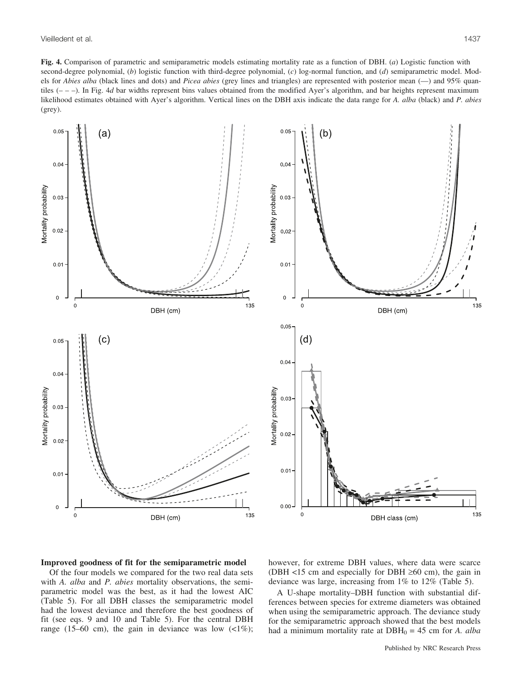**Fig. 4.** Comparison of parametric and semiparametric models estimating mortality rate as a function of DBH. (*a*) Logistic function with second-degree polynomial, (*b*) logistic function with third-degree polynomial, (*c*) log-normal function, and (*d*) semiparametric model. Models for *Abies alba* (black lines and dots) and *Picea abies* (grey lines and triangles) are represented with posterior mean (—) and 95% quantiles (– – –). In Fig. 4*d* bar widths represent bins values obtained from the modified Ayer's algorithm, and bar heights represent maximum likelihood estimates obtained with Ayer's algorithm. Vertical lines on the DBH axis indicate the data range for *A. alba* (black) and *P. abies* (grey).



#### **Improved goodness of fit for the semiparametric model**

Of the four models we compared for the two real data sets with *A. alba* and *P. abies* mortality observations, the semiparametric model was the best, as it had the lowest AIC (Table 5). For all DBH classes the semiparametric model had the lowest deviance and therefore the best goodness of fit (see eqs. 9 and 10 and Table 5). For the central DBH range (15–60 cm), the gain in deviance was low  $\left($ <1%); however, for extreme DBH values, where data were scarce (DBH  $\textless 15$  cm and especially for DBH  $\textless 60$  cm), the gain in deviance was large, increasing from 1% to 12% (Table 5).

A U-shape mortality–DBH function with substantial differences between species for extreme diameters was obtained when using the semiparametric approach. The deviance study for the semiparametric approach showed that the best models had a minimum mortality rate at  $DBH_0 = 45$  cm for *A. alba*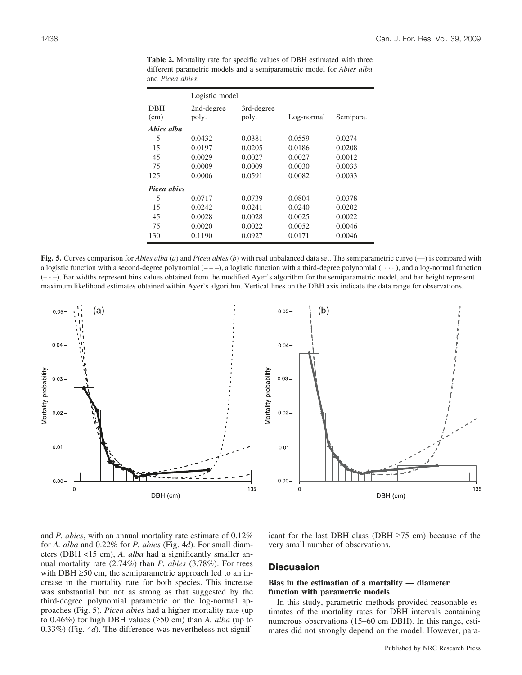|                    | Logistic model      |                     |            |           |
|--------------------|---------------------|---------------------|------------|-----------|
| <b>DBH</b><br>(cm) | 2nd-degree<br>poly. | 3rd-degree<br>poly. | Log-normal | Semipara. |
| Abies alba         |                     |                     |            |           |
| 5                  | 0.0432              | 0.0381              | 0.0559     | 0.0274    |
| 15                 | 0.0197              | 0.0205              | 0.0186     | 0.0208    |
| 45                 | 0.0029              | 0.0027              | 0.0027     | 0.0012    |
| 75                 | 0.0009              | 0.0009              | 0.0030     | 0.0033    |
| 125                | 0.0006              | 0.0591              | 0.0082     | 0.0033    |
| Picea abies        |                     |                     |            |           |
| 5                  | 0.0717              | 0.0739              | 0.0804     | 0.0378    |
| 15                 | 0.0242              | 0.0241              | 0.0240     | 0.0202    |
| 45                 | 0.0028              | 0.0028              | 0.0025     | 0.0022    |
| 75                 | 0.0020              | 0.0022              | 0.0052     | 0.0046    |
| 130                | 0.1190              | 0.0927              | 0.0171     | 0.0046    |

**Table 2.** Mortality rate for specific values of DBH estimated with three different parametric models and a semiparametric model for *Abies alba* and *Picea abies*.

**Fig. 5.** Curves comparison for *Abies alba* (*a*) and *Picea abies* (*b*) with real unbalanced data set. The semiparametric curve (—) is compared with a logistic function with a second-degree polynomial  $(- -)$ , a logistic function with a third-degree polynomial  $(\cdots)$ , and a log-normal function (– - –). Bar widths represent bins values obtained from the modified Ayer's algorithm for the semiparametric model, and bar height represent maximum likelihood estimates obtained within Ayer's algorithm. Vertical lines on the DBH axis indicate the data range for observations.



and *P. abies*, with an annual mortality rate estimate of 0.12% for *A. alba* and 0.22% for *P. abies* (Fig. 4*d*). For small diameters (DBH <15 cm), *A. alba* had a significantly smaller annual mortality rate (2.74%) than *P. abies* (3.78%). For trees with DBH  $\geq$ 50 cm, the semiparametric approach led to an increase in the mortality rate for both species. This increase was substantial but not as strong as that suggested by the third-degree polynomial parametric or the log-normal approaches (Fig. 5). *Picea abies* had a higher mortality rate (up to 0.46%) for high DBH values ( $\geq$ 50 cm) than *A. alba* (up to 0.33%) (Fig. 4*d*). The difference was nevertheless not signif-

icant for the last DBH class (DBH  $\geq$ 75 cm) because of the very small number of observations.

## **Discussion**

#### **Bias in the estimation of a mortality — diameter function with parametric models**

In this study, parametric methods provided reasonable estimates of the mortality rates for DBH intervals containing numerous observations (15–60 cm DBH). In this range, estimates did not strongly depend on the model. However, para-

135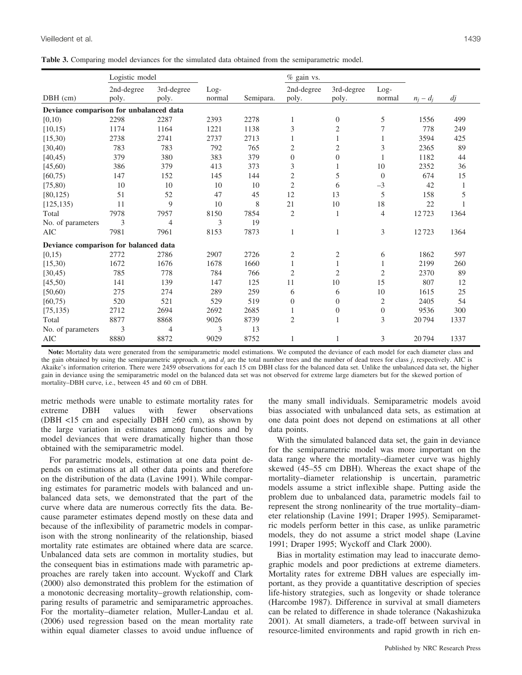|  |  |  |  |  | <b>Table 3.</b> Comparing model deviances for the simulated data obtained from the semiparametric model. |  |
|--|--|--|--|--|----------------------------------------------------------------------------------------------------------|--|
|  |  |  |  |  |                                                                                                          |  |

|                                         | Logistic model      |                     |                |           | % gain vs.          |                     |                  |             |              |
|-----------------------------------------|---------------------|---------------------|----------------|-----------|---------------------|---------------------|------------------|-------------|--------------|
| $DBH$ (cm)                              | 2nd-degree<br>poly. | 3rd-degree<br>poly. | Log-<br>normal | Semipara. | 2nd-degree<br>poly. | 3rd-degree<br>poly. | $Log-$<br>normal | $n_i - d_i$ | $d\!j$       |
| Deviance comparison for unbalanced data |                     |                     |                |           |                     |                     |                  |             |              |
| [0,10)                                  | 2298                | 2287                | 2393           | 2278      | 1                   | $\boldsymbol{0}$    | 5                | 1556        | 499          |
| [10, 15)                                | 1174                | 1164                | 1221           | 1138      | 3                   | $\overline{c}$      | 7                | 778         | 249          |
| [15,30)                                 | 2738                | 2741                | 2737           | 2713      | 1                   | $\mathbf{1}$        | 1                | 3594        | 425          |
| [30, 40)                                | 783                 | 783                 | 792            | 765       | $\overline{2}$      | 2                   | $\mathfrak 3$    | 2365        | 89           |
| [40, 45)                                | 379                 | 380                 | 383            | 379       | $\overline{0}$      | $\boldsymbol{0}$    | 1                | 1182        | 44           |
| [45,60)                                 | 386                 | 379                 | 413            | 373       | 3                   |                     | 10               | 2352        | 36           |
| [60, 75)                                | 147                 | 152                 | 145            | 144       | $\mathfrak{2}$      | 5                   | $\boldsymbol{0}$ | 674         | 15           |
| [75, 80)                                | 10                  | 10                  | 10             | 10        | $\overline{2}$      | 6                   | $-3$             | 42          | $\mathbf{1}$ |
| [80, 125)                               | 51                  | 52                  | 47             | 45        | 12                  | 13                  | 5                | 158         | 5            |
| [125, 135]                              | 11                  | 9                   | 10             | 8         | 21                  | 10                  | 18               | 22          |              |
| Total                                   | 7978                | 7957                | 8150           | 7854      | $\mathfrak{2}$      | 1                   | 4                | 12723       | 1364         |
| No. of parameters                       | 3                   | 4                   | 3              | 19        |                     |                     |                  |             |              |
| <b>AIC</b>                              | 7981                | 7961                | 8153           | 7873      | $\mathbf{1}$        | 1                   | 3                | 12723       | 1364         |
| Deviance comparison for balanced data   |                     |                     |                |           |                     |                     |                  |             |              |
| [0,15)                                  | 2772                | 2786                | 2907           | 2726      | $\mathfrak{2}$      | $\overline{c}$      | 6                | 1862        | 597          |
| [15,30)                                 | 1672                | 1676                | 1678           | 1660      | 1                   | $\mathbf{1}$        | 1                | 2199        | 260          |
| [30, 45)                                | 785                 | 778                 | 784            | 766       | $\mathfrak{2}$      | $\overline{c}$      | $\mathfrak{2}$   | 2370        | 89           |
| [45,50)                                 | 141                 | 139                 | 147            | 125       | 11                  | 10                  | 15               | 807         | 12           |
| [50,60)                                 | 275                 | 274                 | 289            | 259       | 6                   | 6                   | 10               | 1615        | 25           |
| [60, 75)                                | 520                 | 521                 | 529            | 519       | $\overline{0}$      | $\theta$            | $\mathfrak{2}$   | 2405        | 54           |
| [75, 135)                               | 2712                | 2694                | 2692           | 2685      | 1                   | $\boldsymbol{0}$    | $\boldsymbol{0}$ | 9536        | 300          |
| Total                                   | 8877                | 8868                | 9026           | 8739      | 2                   | 1                   | 3                | 20794       | 1337         |
| No. of parameters                       | 3                   | $\overline{4}$      | 3              | 13        |                     |                     |                  |             |              |
| <b>AIC</b>                              | 8880                | 8872                | 9029           | 8752      | 1                   |                     | 3                | 20794       | 1337         |

**Note:** Mortality data were generated from the semiparametric model estimations. We computed the deviance of each model for each diameter class and the gain obtained by using the semiparametric approach.  $n_i$  and  $d_i$  are the total number trees and the number of dead trees for class  $j$ , respectively. AIC is Akaike's information criterion. There were 2459 observations for each 15 cm DBH class for the balanced data set. Unlike the unbalanced data set, the higher gain in deviance using the semiparametric model on the balanced data set was not observed for extreme large diameters but for the skewed portion of mortality–DBH curve, i.e., between 45 and 60 cm of DBH.

metric methods were unable to estimate mortality rates for extreme DBH values with fewer observations (DBH  $\lt 15$  cm and especially DBH  $\ge 60$  cm), as shown by the large variation in estimates among functions and by model deviances that were dramatically higher than those obtained with the semiparametric model.

For parametric models, estimation at one data point depends on estimations at all other data points and therefore on the distribution of the data (Lavine 1991). While comparing estimates for parametric models with balanced and unbalanced data sets, we demonstrated that the part of the curve where data are numerous correctly fits the data. Because parameter estimates depend mostly on these data and because of the inflexibility of parametric models in comparison with the strong nonlinearity of the relationship, biased mortality rate estimates are obtained where data are scarce. Unbalanced data sets are common in mortality studies, but the consequent bias in estimations made with parametric approaches are rarely taken into account. Wyckoff and Clark (2000) also demonstrated this problem for the estimation of a monotonic decreasing mortality–growth relationship, comparing results of parametric and semiparametric approaches. For the mortality–diameter relation, Muller-Landau et al. (2006) used regression based on the mean mortality rate within equal diameter classes to avoid undue influence of the many small individuals. Semiparametric models avoid bias associated with unbalanced data sets, as estimation at one data point does not depend on estimations at all other data points.

With the simulated balanced data set, the gain in deviance for the semiparametric model was more important on the data range where the mortality–diameter curve was highly skewed (45–55 cm DBH). Whereas the exact shape of the mortality–diameter relationship is uncertain, parametric models assume a strict inflexible shape. Putting aside the problem due to unbalanced data, parametric models fail to represent the strong nonlinearity of the true mortality–diameter relationship (Lavine 1991; Draper 1995). Semiparametric models perform better in this case, as unlike parametric models, they do not assume a strict model shape (Lavine 1991; Draper 1995; Wyckoff and Clark 2000).

Bias in mortality estimation may lead to inaccurate demographic models and poor predictions at extreme diameters. Mortality rates for extreme DBH values are especially important, as they provide a quantitative description of species life-history strategies, such as longevity or shade tolerance (Harcombe 1987). Difference in survival at small diameters can be related to difference in shade tolerance (Nakashizuka 2001). At small diameters, a trade-off between survival in resource-limited environments and rapid growth in rich en-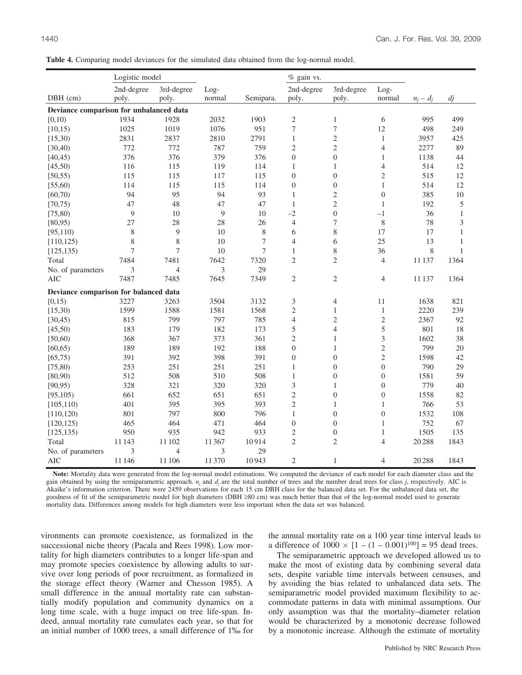|                                       | Logistic model                          |                |        |             | $%$ gain vs.     |                  |                  |             |              |
|---------------------------------------|-----------------------------------------|----------------|--------|-------------|------------------|------------------|------------------|-------------|--------------|
|                                       | 2nd-degree                              | 3rd-degree     | Log-   |             | 2nd-degree       | 3rd-degree       | Log-             |             |              |
| $DBH$ (cm)                            | poly.                                   | poly.          | normal | Semipara.   | poly.            | poly.            | normal           | $n_i - d_i$ | dj           |
|                                       | Deviance comparison for unbalanced data |                |        |             |                  |                  |                  |             |              |
| [0,10)                                | 1934                                    | 1928           | 2032   | 1903        | $\mathfrak{2}$   | $\mathbf{1}$     | 6                | 995         | 499          |
| [10, 15)                              | 1025                                    | 1019           | 1076   | 951         | 7                | $\boldsymbol{7}$ | 12               | 498         | 249          |
| [15,30)                               | 2831                                    | 2837           | 2810   | 2791        | $\mathbf{1}$     | $\sqrt{2}$       | $\mathbf{1}$     | 3957        | 425          |
| [30, 40)                              | 772                                     | 772            | 787    | 759         | $\mathfrak{2}$   | $\sqrt{2}$       | 4                | 2277        | 89           |
| [40, 45)                              | 376                                     | 376            | 379    | 376         | $\overline{0}$   | $\boldsymbol{0}$ | $\mathbf{1}$     | 1138        | 44           |
| [45,50)                               | 116                                     | 115            | 119    | 114         | $\mathbf{1}$     | $\mathbf{1}$     | $\overline{4}$   | 514         | 12           |
| [50, 55)                              | 115                                     | 115            | 117    | 115         | $\boldsymbol{0}$ | $\boldsymbol{0}$ | $\overline{c}$   | 515         | 12           |
| [55,60)                               | 114                                     | 115            | 115    | 114         | $\boldsymbol{0}$ | $\boldsymbol{0}$ | $\mathbf{1}$     | 514         | 12           |
| [60, 70)                              | 94                                      | 95             | 94     | 93          | 1                | $\sqrt{2}$       | $\overline{0}$   | 385         | 10           |
| [70, 75)                              | 47                                      | 48             | 47     | 47          | $\mathbf{1}$     | $\mathbf{2}$     | 1                | 192         | 5            |
| [75, 80)                              | 9                                       | 10             | 9      | 10          | $-2$             | $\boldsymbol{0}$ | $-1$             | 36          | 1            |
| [80, 95)                              | 27                                      | 28             | 28     | 26          | $\overline{4}$   | $\boldsymbol{7}$ | $\,$ 8 $\,$      | 78          | 3            |
| [95, 110]                             | 8                                       | 9              | 10     | $\,$ 8 $\,$ | 6                | 8                | 17               | 17          | $\mathbf{1}$ |
| [110, 125)                            | 8                                       | 8              | 10     | 7           | $\overline{4}$   | 6                | 25               | 13          | $\mathbf{1}$ |
| [125, 135]                            | 7                                       | 7              | 10     | 7           | $\mathbf{1}$     | $\,$ 8 $\,$      | 36               | 8           | $\mathbf{1}$ |
| Total                                 | 7484                                    | 7481           | 7642   | 7320        | $\mathfrak{2}$   | $\sqrt{2}$       | 4                | 11 137      | 1364         |
| No. of parameters                     | 3                                       | $\overline{4}$ | 3      | 29          |                  |                  |                  |             |              |
| AIC                                   | 7487                                    | 7485           | 7645   | 7349        | $\mathfrak{2}$   | $\mathfrak{2}$   | 4                | 11 137      | 1364         |
| Deviance comparison for balanced data |                                         |                |        |             |                  |                  |                  |             |              |
| [0,15)                                | 3227                                    | 3263           | 3504   | 3132        | 3                | $\overline{4}$   | 11               | 1638        | 821          |
| [15,30)                               | 1599                                    | 1588           | 1581   | 1568        | $\overline{c}$   | $\mathbf{1}$     | $\mathbf{1}$     | 2220        | 239          |
| [30, 45)                              | 815                                     | 799            | 797    | 785         | $\overline{4}$   | $\sqrt{2}$       | $\overline{c}$   | 2367        | 92           |
| [45,50)                               | 183                                     | 179            | 182    | 173         | 5                | $\overline{4}$   | 5                | 801         | 18           |
| [50,60)                               | 368                                     | 367            | 373    | 361         | $\mathfrak{2}$   | $\mathbf{1}$     | 3                | 1602        | 38           |
| [60, 65)                              | 189                                     | 189            | 192    | 188         | $\mathbf{0}$     | $\mathbf{1}$     | $\overline{c}$   | 799         | $20\,$       |
| [65, 75)                              | 391                                     | 392            | 398    | 391         | $\overline{0}$   | $\boldsymbol{0}$ | $\overline{c}$   | 1598        | 42           |
| [75, 80)                              | 253                                     | 251            | 251    | 251         | $\mathbf{1}$     | $\overline{0}$   | $\mathbf{0}$     | 790         | 29           |
| [80,90)                               | 512                                     | 508            | 510    | 508         | $\mathbf{1}$     | $\boldsymbol{0}$ | $\overline{0}$   | 1581        | 59           |
| [90, 95)                              | 328                                     | 321            | 320    | 320         | 3                | 1                | $\overline{0}$   | 779         | 40           |
| [95, 105)                             | 661                                     | 652            | 651    | 651         | $\overline{2}$   | $\boldsymbol{0}$ | $\boldsymbol{0}$ | 1558        | 82           |
| [105, 110]                            | 401                                     | 395            | 395    | 393         | $\overline{c}$   | $\mathbf{1}$     | $\mathbf{1}$     | 766         | 53           |
| [110, 120)                            | 801                                     | 797            | 800    | 796         | $\mathbf{1}$     | $\boldsymbol{0}$ | $\boldsymbol{0}$ | 1532        | 108          |
| [120, 125]                            | 465                                     | 464            | 471    | 464         | $\boldsymbol{0}$ | $\boldsymbol{0}$ | $\,1\,$          | 752         | 67           |
| [125, 135)                            | 950                                     | 935            | 942    | 933         | $\mathfrak{2}$   | $\boldsymbol{0}$ | $\mathbf{1}$     | 1505        | 135          |
| Total                                 | 11 143                                  | 11 102         | 11367  | 10914       | $\overline{c}$   | $\overline{2}$   | $\overline{4}$   | 20288       | 1843         |
| No. of parameters                     | 3                                       | $\overline{4}$ | 3      | 29          |                  |                  |                  |             |              |
| <b>AIC</b>                            | 11 146                                  | 11 10 6        | 11370  | 10943       | $\mathfrak{2}$   | $\mathbf{1}$     | 4                | 20288       | 1843         |

**Table 4.** Comparing model deviances for the simulated data obtained from the log-normal model.

**Note:** Mortality data were generated from the log-normal model estimations. We computed the deviance of each model for each diameter class and the gain obtained by using the semiparametric approach.  $n_i$  and  $d_i$  are the total number of trees and the number dead trees for class *j*, respectively. AIC is Akaike's information criterion. There were 2459 observations for each 15 cm DBH class for the balanced data set. For the unbalanced data set, the goodness of fit of the semiparametric model for high diameters (DBH ≥80 cm) was much better than that of the log-normal model used to generate mortality data. Differences among models for high diameters were less important when the data set was balanced.

vironments can promote coexistence, as formalized in the successional niche theory (Pacala and Rees 1998). Low mortality for high diameters contributes to a longer life-span and may promote species coexistence by allowing adults to survive over long periods of poor recruitment, as formalized in the storage effect theory (Warner and Chesson 1985). A small difference in the annual mortality rate can substantially modify population and community dynamics on a long time scale, with a huge impact on tree life-span. Indeed, annual mortality rate cumulates each year, so that for an initial number of 1000 trees, a small difference of 1% for the annual mortality rate on a 100 year time interval leads to a difference of  $1000 \times [1 - (1 - 0.001)^{100}] = 95$  dead trees.

The semiparametric approach we developed allowed us to make the most of existing data by combining several data sets, despite variable time intervals between censuses, and by avoiding the bias related to unbalanced data sets. The semiparametric model provided maximum flexibility to accommodate patterns in data with minimal assumptions. Our only assumption was that the mortality–diameter relation would be characterized by a monotonic decrease followed by a monotonic increase. Although the estimate of mortality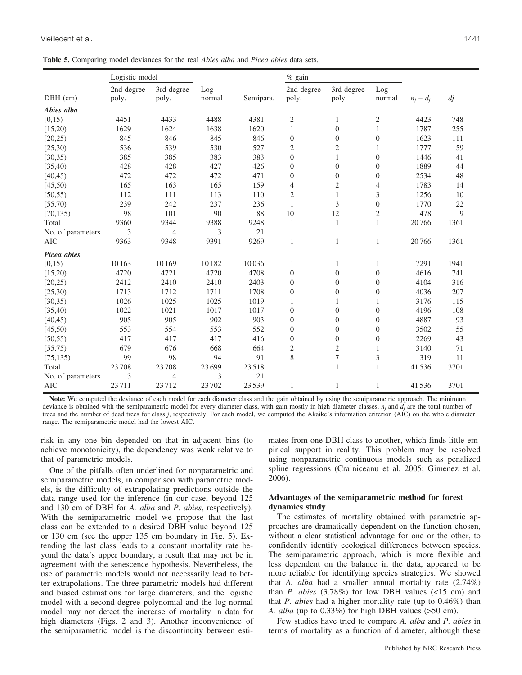|  | <b>Table 5.</b> Comparing model deviances for the real <i>Abies alba</i> and <i>Picea abies</i> data sets. |  |  |  |  |  |  |  |  |  |  |  |  |
|--|------------------------------------------------------------------------------------------------------------|--|--|--|--|--|--|--|--|--|--|--|--|
|--|------------------------------------------------------------------------------------------------------------|--|--|--|--|--|--|--|--|--|--|--|--|

|                   |            | Logistic model |        |           |                  |                  |                  |             |        |
|-------------------|------------|----------------|--------|-----------|------------------|------------------|------------------|-------------|--------|
|                   | 2nd-degree | 3rd-degree     | Log-   |           | 2nd-degree       | 3rd-degree       | Log-             |             |        |
| DBH (cm)          | poly.      | poly.          | normal | Semipara. | poly.            | poly.            | normal           | $n_j - d_j$ | $d\!j$ |
| Abies alba        |            |                |        |           |                  |                  |                  |             |        |
| [0,15)            | 4451       | 4433           | 4488   | 4381      | $\mathfrak{2}$   | $\mathbf{1}$     | $\overline{c}$   | 4423        | 748    |
| [15,20)           | 1629       | 1624           | 1638   | 1620      | $\mathbf{1}$     | $\mathbf{0}$     | $\mathbf{1}$     | 1787        | 255    |
| [20,25)           | 845        | 846            | 845    | 846       | $\boldsymbol{0}$ | $\mathbf{0}$     | $\boldsymbol{0}$ | 1623        | 111    |
| [25,30)           | 536        | 539            | 530    | 527       | $\mathfrak{2}$   | $\mathfrak{2}$   | 1                | 1777        | 59     |
| [30, 35)          | 385        | 385            | 383    | 383       | $\boldsymbol{0}$ | $\mathbf{1}$     | $\overline{0}$   | 1446        | 41     |
| [35, 40)          | 428        | 428            | 427    | 426       | $\boldsymbol{0}$ | $\mathbf{0}$     | $\overline{0}$   | 1889        | 44     |
| [40, 45)          | 472        | 472            | 472    | 471       | $\boldsymbol{0}$ | $\boldsymbol{0}$ | $\boldsymbol{0}$ | 2534        | 48     |
| [45,50)           | 165        | 163            | 165    | 159       | $\overline{4}$   | $\mathfrak{2}$   | $\overline{4}$   | 1783        | 14     |
| [50, 55)          | 112        | 111            | 113    | 110       | $\overline{c}$   | $\mathbf{1}$     | 3                | 1256        | 10     |
| [55,70)           | 239        | 242            | 237    | 236       | $\mathbf{1}$     | 3                | $\boldsymbol{0}$ | 1770        | 22     |
| [70, 135]         | 98         | 101            | 90     | 88        | 10               | 12               | $\sqrt{2}$       | 478         | 9      |
| Total             | 9360       | 9344           | 9388   | 9248      | $\mathbf{1}$     | $\mathbf{1}$     | $\mathbf{1}$     | 20766       | 1361   |
| No. of parameters | 3          | $\overline{4}$ | 3      | 21        |                  |                  |                  |             |        |
| <b>AIC</b>        | 9363       | 9348           | 9391   | 9269      | $\mathbf{1}$     | $\mathbf{1}$     | $\mathbf{1}$     | 20766       | 1361   |
| Picea abies       |            |                |        |           |                  |                  |                  |             |        |
| [0,15)            | 10163      | 10169          | 10182  | 10036     | $\mathbf{1}$     | 1                | 1                | 7291        | 1941   |
| [15,20)           | 4720       | 4721           | 4720   | 4708      | $\boldsymbol{0}$ | $\mathbf{0}$     | $\boldsymbol{0}$ | 4616        | 741    |
| [20,25)           | 2412       | 2410           | 2410   | 2403      | $\boldsymbol{0}$ | $\mathbf{0}$     | $\boldsymbol{0}$ | 4104        | 316    |
| [25,30)           | 1713       | 1712           | 1711   | 1708      | $\boldsymbol{0}$ | $\mathbf{0}$     | $\boldsymbol{0}$ | 4036        | 207    |
| [30, 35)          | 1026       | 1025           | 1025   | 1019      | 1                | $\mathbf{1}$     | $\mathbf{1}$     | 3176        | 115    |
| [35, 40)          | 1022       | 1021           | 1017   | 1017      | $\boldsymbol{0}$ | $\boldsymbol{0}$ | $\boldsymbol{0}$ | 4196        | 108    |
| [40, 45)          | 905        | 905            | 902    | 903       | $\boldsymbol{0}$ | $\mathbf{0}$     | $\boldsymbol{0}$ | 4887        | 93     |
| [45,50)           | 553        | 554            | 553    | 552       | $\theta$         | $\overline{0}$   | $\theta$         | 3502        | 55     |
| [50, 55)          | 417        | 417            | 417    | 416       | $\boldsymbol{0}$ | $\mathbf{0}$     | $\boldsymbol{0}$ | 2269        | 43     |
| [55,75)           | 679        | 676            | 668    | 664       | $\mathfrak{2}$   | $\overline{c}$   | $\mathbf{1}$     | 3140        | 71     |
| [75, 135)         | 99         | 98             | 94     | 91        | 8                | $\overline{7}$   | 3                | 319         | 11     |
| Total             | 23708      | 23708          | 23 699 | 23518     | $\mathbf{1}$     | $\mathbf{1}$     | 1                | 41536       | 3701   |
| No. of parameters | 3          | $\overline{4}$ | 3      | 21        |                  |                  |                  |             |        |
| <b>AIC</b>        | 23711      | 23712          | 23702  | 23 5 39   | $\mathbf{1}$     | 1                | 1                | 41536       | 3701   |

Note: We computed the deviance of each model for each diameter class and the gain obtained by using the semiparametric approach. The minimum deviance is obtained with the semiparametric model for every diameter class, with gain mostly in high diameter classes. *nj* and *dj* are the total number of trees and the number of dead trees for class *j*, respectively. For each model, we computed the Akaike's information criterion (AIC) on the whole diameter range. The semiparametric model had the lowest AIC.

risk in any one bin depended on that in adjacent bins (to achieve monotonicity), the dependency was weak relative to that of parametric models.

One of the pitfalls often underlined for nonparametric and semiparametric models, in comparison with parametric models, is the difficulty of extrapolating predictions outside the data range used for the inference (in our case, beyond 125 and 130 cm of DBH for *A. alba* and *P. abies*, respectively). With the semiparametric model we propose that the last class can be extended to a desired DBH value beyond 125 or 130 cm (see the upper 135 cm boundary in Fig. 5). Extending the last class leads to a constant mortality rate beyond the data's upper boundary, a result that may not be in agreement with the senescence hypothesis. Nevertheless, the use of parametric models would not necessarily lead to better extrapolations. The three parametric models had different and biased estimations for large diameters, and the logistic model with a second-degree polynomial and the log-normal model may not detect the increase of mortality in data for high diameters (Figs. 2 and 3). Another inconvenience of the semiparametric model is the discontinuity between estimates from one DBH class to another, which finds little empirical support in reality. This problem may be resolved using nonparametric continuous models such as penalized spline regressions (Crainiceanu et al. 2005; Gimenez et al. 2006).

### **Advantages of the semiparametric method for forest dynamics study**

The estimates of mortality obtained with parametric approaches are dramatically dependent on the function chosen, without a clear statistical advantage for one or the other, to confidently identify ecological differences between species. The semiparametric approach, which is more flexible and less dependent on the balance in the data, appeared to be more reliable for identifying species strategies. We showed that *A. alba* had a smaller annual mortality rate (2.74%) than *P. abies* (3.78%) for low DBH values (<15 cm) and that *P. abies* had a higher mortality rate (up to 0.46%) than *A. alba* (up to 0.33%) for high DBH values (>50 cm).

Few studies have tried to compare *A. alba* and *P. abies* in terms of mortality as a function of diameter, although these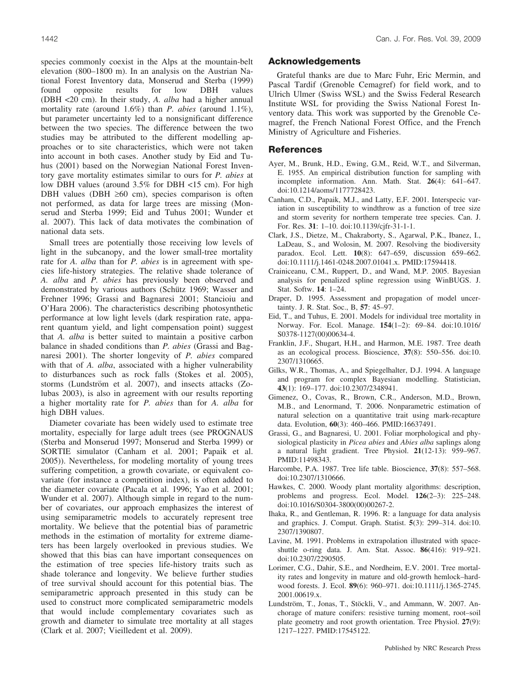species commonly coexist in the Alps at the mountain-belt elevation (800–1800 m). In an analysis on the Austrian National Forest Inventory data, Monserud and Sterba (1999) found opposite results for low DBH values (DBH <20 cm). In their study, *A. alba* had a higher annual mortality rate (around 1.6%) than *P. abies* (around 1.1%), but parameter uncertainty led to a nonsignificant difference between the two species. The difference between the two studies may be attributed to the different modelling approaches or to site characteristics, which were not taken into account in both cases. Another study by Eid and Tuhus (2001) based on the Norwegian National Forest Inventory gave mortality estimates similar to ours for *P. abies* at low DBH values (around 3.5% for DBH <15 cm). For high DBH values (DBH  $\geq 60$  cm), species comparison is often not performed, as data for large trees are missing (Monserud and Sterba 1999; Eid and Tuhus 2001; Wunder et al. 2007). This lack of data motivates the combination of national data sets.

Small trees are potentially those receiving low levels of light in the subcanopy, and the lower small-tree mortality rate for *A. alba* than for *P. abies* is in agreement with species life-history strategies. The relative shade tolerance of *A. alba* and *P. abies* has previously been observed and demonstrated by various authors (Schütz 1969; Wasser and Frehner 1996; Grassi and Bagnaresi 2001; Stancioiu and O'Hara 2006). The characteristics describing photosynthetic performance at low light levels (dark respiration rate, apparent quantum yield, and light compensation point) suggest that *A. alba* is better suited to maintain a positive carbon balance in shaded conditions than *P. abies* (Grassi and Bagnaresi 2001). The shorter longevity of *P. abies* compared with that of *A. alba*, associated with a higher vulnerability to disturbances such as rock falls (Stokes et al. 2005), storms (Lundström et al. 2007), and insects attacks (Zolubas 2003), is also in agreement with our results reporting a higher mortality rate for *P. abies* than for *A. alba* for high DBH values.

Diameter covariate has been widely used to estimate tree mortality, especially for large adult trees (see PROGNAUS (Sterba and Monserud 1997; Monserud and Sterba 1999) or SORTIE simulator (Canham et al. 2001; Papaik et al. 2005)). Nevertheless, for modeling mortality of young trees suffering competition, a growth covariate, or equivalent covariate (for instance a competition index), is often added to the diameter covariate (Pacala et al. 1996; Yao et al. 2001; Wunder et al. 2007). Although simple in regard to the number of covariates, our approach emphasizes the interest of using semiparametric models to accurately represent tree mortality. We believe that the potential bias of parametric methods in the estimation of mortality for extreme diameters has been largely overlooked in previous studies. We showed that this bias can have important consequences on the estimation of tree species life-history traits such as shade tolerance and longevity. We believe further studies of tree survival should account for this potential bias. The semiparametric approach presented in this study can be used to construct more complicated semiparametric models that would include complementary covariates such as growth and diameter to simulate tree mortality at all stages (Clark et al. 2007; Vieilledent et al. 2009).

#### **Acknowledgements**

Grateful thanks are due to Marc Fuhr, Eric Mermin, and Pascal Tardif (Grenoble Cemagref) for field work, and to Ulrich Ulmer (Swiss WSL) and the Swiss Federal Research Institute WSL for providing the Swiss National Forest Inventory data. This work was supported by the Grenoble Cemagref, the French National Forest Office, and the French Ministry of Agriculture and Fisheries.

#### **References**

- Ayer, M., Brunk, H.D., Ewing, G.M., Reid, W.T., and Silverman, E. 1955. An empirical distribution function for sampling with incomplete information. Ann. Math. Stat. **26**(4): 641–647. doi:10.1214/aoms/1177728423.
- Canham, C.D., Papaik, M.J., and Latty, E.F. 2001. Interspecic variation in susceptibility to windthrow as a function of tree size and storm severity for northern temperate tree species. Can. J. For. Res. **31**: 1–10. doi:10.1139/cjfr-31-1-1.
- Clark, J.S., Dietze, M., Chakraborty, S., Agarwal, P.K., Ibanez, I., LaDeau, S., and Wolosin, M. 2007. Resolving the biodiversity paradox. Ecol. Lett. **10**(8): 647–659, discussion 659–662. doi:10.1111/j.1461-0248.2007.01041.x. PMID:17594418.
- Crainiceanu, C.M., Ruppert, D., and Wand, M.P. 2005. Bayesian analysis for penalized spline regression using WinBUGS. J. Stat. Softw. **14**: 1–24.
- Draper, D. 1995. Assessment and propagation of model uncertainty. J. R. Stat. Soc., B, **57**: 45–97.
- Eid, T., and Tuhus, E. 2001. Models for individual tree mortality in Norway. For. Ecol. Manage. **154**(1–2): 69–84. doi:10.1016/ S0378-1127(00)00634-4.
- Franklin, J.F., Shugart, H.H., and Harmon, M.E. 1987. Tree death as an ecological process. Bioscience, **37**(8): 550–556. doi:10. 2307/1310665.
- Gilks, W.R., Thomas, A., and Spiegelhalter, D.J. 1994. A language and program for complex Bayesian modelling. Statistician, **43**(1): 169–177. doi:10.2307/2348941.
- Gimenez, O., Covas, R., Brown, C.R., Anderson, M.D., Brown, M.B., and Lenormand, T. 2006. Nonparametric estimation of natural selection on a quantitative trait using mark-recapture data. Evolution, **60**(3): 460–466. PMID:16637491.
- Grassi, G., and Bagnaresi, U. 2001. Foliar morphological and physiological plasticity in *Picea abies* and *Abies alba* saplings along a natural light gradient. Tree Physiol. **21**(12-13): 959–967. PMID:11498343.
- Harcombe, P.A. 1987. Tree life table. Bioscience, **37**(8): 557–568. doi:10.2307/1310666.
- Hawkes, C. 2000. Woody plant mortality algorithms: description, problems and progress. Ecol. Model. **126**(2–3): 225–248. doi:10.1016/S0304-3800(00)00267-2.
- Ihaka, R., and Gentleman, R. 1996. R: a language for data analysis and graphics. J. Comput. Graph. Statist. **5**(3): 299–314. doi:10. 2307/1390807.
- Lavine, M. 1991. Problems in extrapolation illustrated with spaceshuttle o-ring data. J. Am. Stat. Assoc. **86**(416): 919–921. doi:10.2307/2290505.
- Lorimer, C.G., Dahir, S.E., and Nordheim, E.V. 2001. Tree mortality rates and longevity in mature and old-growth hemlock–hardwood forests. J. Ecol. **89**(6): 960–971. doi:10.1111/j.1365-2745. 2001.00619.x.
- Lundström, T., Jonas, T., Stöckli, V., and Ammann, W. 2007. Anchorage of mature conifers: resistive turning moment, root–soil plate geometry and root growth orientation. Tree Physiol. **27**(9): 1217–1227. PMID:17545122.